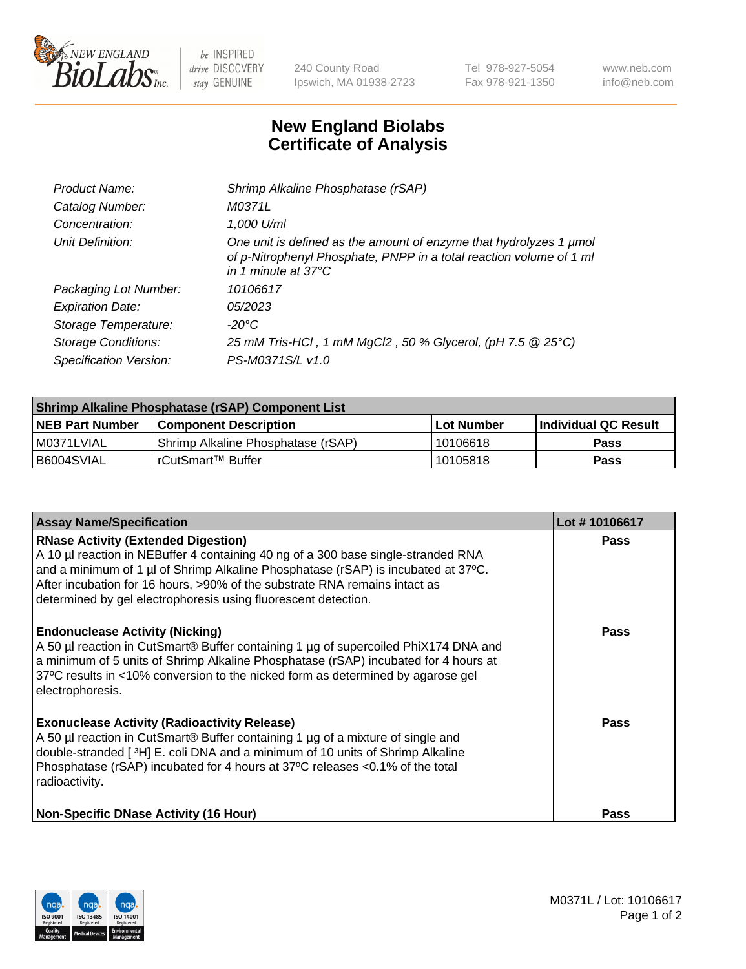

 $be$  INSPIRED drive DISCOVERY stay GENUINE

240 County Road Ipswich, MA 01938-2723 Tel 978-927-5054 Fax 978-921-1350 www.neb.com info@neb.com

## **New England Biolabs Certificate of Analysis**

| Product Name:              | Shrimp Alkaline Phosphatase (rSAP)                                                                                                                                         |
|----------------------------|----------------------------------------------------------------------------------------------------------------------------------------------------------------------------|
| Catalog Number:            | M0371L                                                                                                                                                                     |
| Concentration:             | 1,000 U/ml                                                                                                                                                                 |
| Unit Definition:           | One unit is defined as the amount of enzyme that hydrolyzes 1 µmol<br>of p-Nitrophenyl Phosphate, PNPP in a total reaction volume of 1 ml<br>in 1 minute at $37^{\circ}$ C |
| Packaging Lot Number:      | 10106617                                                                                                                                                                   |
| <b>Expiration Date:</b>    | 05/2023                                                                                                                                                                    |
| Storage Temperature:       | $-20^{\circ}$ C                                                                                                                                                            |
| <b>Storage Conditions:</b> | 25 mM Tris-HCl, 1 mM MgCl2, 50 % Glycerol, (pH 7.5 @ 25°C)                                                                                                                 |
| Specification Version:     | PS-M0371S/L v1.0                                                                                                                                                           |

| Shrimp Alkaline Phosphatase (rSAP) Component List |                                    |             |                      |  |
|---------------------------------------------------|------------------------------------|-------------|----------------------|--|
| <b>NEB Part Number</b>                            | <b>Component Description</b>       | ∣Lot Number | Individual QC Result |  |
| I M0371LVIAL                                      | Shrimp Alkaline Phosphatase (rSAP) | 10106618    | <b>Pass</b>          |  |
| B6004SVIAL                                        | l rCutSmart™ Buffer_               | 10105818    | <b>Pass</b>          |  |

| <b>Assay Name/Specification</b>                                                                                                                                                                                                                                                                                                                                      | Lot #10106617 |
|----------------------------------------------------------------------------------------------------------------------------------------------------------------------------------------------------------------------------------------------------------------------------------------------------------------------------------------------------------------------|---------------|
| <b>RNase Activity (Extended Digestion)</b><br>A 10 µl reaction in NEBuffer 4 containing 40 ng of a 300 base single-stranded RNA<br>and a minimum of 1 µl of Shrimp Alkaline Phosphatase (rSAP) is incubated at 37°C.<br>After incubation for 16 hours, >90% of the substrate RNA remains intact as<br>determined by gel electrophoresis using fluorescent detection. | <b>Pass</b>   |
| <b>Endonuclease Activity (Nicking)</b><br>A 50 µl reaction in CutSmart® Buffer containing 1 µg of supercoiled PhiX174 DNA and<br>a minimum of 5 units of Shrimp Alkaline Phosphatase (rSAP) incubated for 4 hours at<br>37°C results in <10% conversion to the nicked form as determined by agarose gel<br>electrophoresis.                                          | <b>Pass</b>   |
| <b>Exonuclease Activity (Radioactivity Release)</b><br>A 50 µl reaction in CutSmart® Buffer containing 1 µg of a mixture of single and<br>double-stranded [3H] E. coli DNA and a minimum of 10 units of Shrimp Alkaline<br>Phosphatase (rSAP) incubated for 4 hours at 37°C releases <0.1% of the total<br>radioactivity.                                            | Pass          |
| <b>Non-Specific DNase Activity (16 Hour)</b>                                                                                                                                                                                                                                                                                                                         | Pass          |